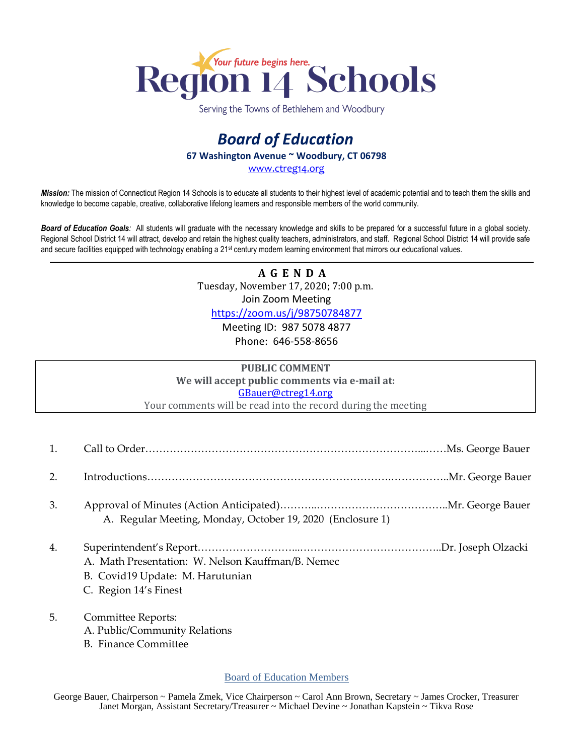

Serving the Towns of Bethlehem and Woodbury

## *Board of Education* **67 Washington Avenue ~ Woodbury, CT 06798**

[www.ctreg14.org](http://www.ctreg14.org/)

*Mission:* The mission of Connecticut Region 14 Schools is to educate all students to their highest level of academic potential and to teach them the skills and knowledge to become capable, creative, collaborative lifelong learners and responsible members of the world community.

*Board of Education Goals:* All students will graduate with the necessary knowledge and skills to be prepared for a successful future in a global society. Regional School District 14 will attract, develop and retain the highest quality teachers, administrators, and staff. Regional School District 14 will provide safe and secure facilities equipped with technology enabling a 21<sup>st</sup> century modern learning environment that mirrors our educational values.

> **A G E N D A** Tuesday, November 17, 2020; 7:00 p.m.

> > Join Zoom Meeting

<https://zoom.us/j/98750784877>

Meeting ID: 987 5078 4877 Phone: 646-558-8656

| <b>PUBLIC COMMENT</b>                                         |  |  |
|---------------------------------------------------------------|--|--|
| We will accept public comments via e-mail at:                 |  |  |
| GBauer@ctreg14.org                                            |  |  |
| Your comments will be read into the record during the meeting |  |  |

- 1. Call to Order……………………………………………………………………...……Mr. George Bauer 2. Introductions…………………………………………………………….……………..Mr. George Bauer 3. Approval of Minutes (Action Anticipated)………..………………………………..Mr. George Bauer
	- A. Regular Meeting, Monday, October 19, 2020 (Enclosure 1)
- 4. Superintendent's Report………………………...…………………………………..Dr. Joseph Olzacki A. Math Presentation: W. Nelson Kauffman/B. Nemec
	- B. Covid19 Update: M. Harutunian
	- C. Region 14's Finest
- 5. Committee Reports:
	- A. Public/Community Relations
	- B. Finance Committee

Board of Education Members

George Bauer, Chairperson ~ Pamela Zmek, Vice Chairperson ~ Carol Ann Brown, Secretary ~ James Crocker, Treasurer Janet Morgan, Assistant Secretary/Treasurer ~ Michael Devine ~ Jonathan Kapstein ~ Tikva Rose